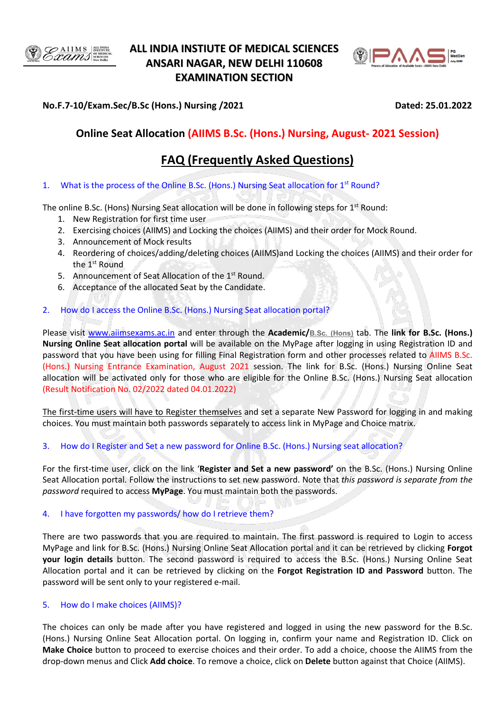

## **ALL INDIA INSTIUTE OF MEDICAL SCIENCES ANSARI NAGAR, NEW DELHI 110608 EXAMINATION SECTION**



## **No.F.7-10/Exam.Sec/B.Sc (Hons.) Nursing /2021 Dated: 25.01.2022**

## **Online Seat Allocation (AIIMS B.Sc. (Hons.) Nursing, August- 2021 Session)**

# **FAQ (Frequently Asked Questions)**

1. What is the process of the Online B.Sc. (Hons.) Nursing Seat allocation for 1<sup>st</sup> Round?

The online B.Sc. (Hons) Nursing Seat allocation will be done in following steps for 1<sup>st</sup> Round:

- 1. New Registration for first time user
- 2. Exercising choices (AIIMS) and Locking the choices (AIIMS) and their order for Mock Round.
- 3. Announcement of Mock results
- 4. Reordering of choices/adding/deleting choices (AIIMS)and Locking the choices (AIIMS) and their order for the 1<sup>st</sup> Round
- 5. Announcement of Seat Allocation of the 1<sup>st</sup> Round.
- 6. Acceptance of the allocated Seat by the Candidate.

## 2. How do I access the Online B.Sc. (Hons.) Nursing Seat allocation portal?

Please visit [www.aiimsexams.a](http://www.aiimsexams./)c.in and enter through the **Academic/[B.Sc. \(Hons\)](https://www.aiimsexams.org/info/Course.html)** tab. The **link for B.Sc. (Hons.) Nursing Online Seat allocation portal** will be available on the MyPage after logging in using Registration ID and password that you have been using for filling Final Registration form and other processes related to AIIMS B.Sc. (Hons.) Nursing Entrance Examination, August 2021 session. The link for B.Sc. (Hons.) Nursing Online Seat allocation will be activated only for those who are eligible for the Online B.Sc. (Hons.) Nursing Seat allocation (Result Notification No. 02/2022 dated 04.01.2022)

The first-time users will have to Register themselves and set a separate New Password for logging in and making choices. You must maintain both passwords separately to access link in MyPage and Choice matrix.

## 3. How do I Register and Set a new password for Online B.Sc. (Hons.) Nursing seat allocation?

For the first-time user, click on the link '**Register and Set a new password'** on the B.Sc. (Hons.) Nursing Online Seat Allocation portal. Follow the instructions to set new password. Note that *this password is separate from the password* required to access **MyPage**. You must maintain both the passwords.

나는 그리

## 4. I have forgotten my passwords/ how do I retrieve them?

There are two passwords that you are required to maintain. The first password is required to Login to access MyPage and link for B.Sc. (Hons.) Nursing Online Seat Allocation portal and it can be retrieved by clicking **Forgot your login details** button. The second password is required to access the B.Sc. (Hons.) Nursing Online Seat Allocation portal and it can be retrieved by clicking on the **Forgot Registration ID and Password** button. The password will be sent only to your registered e-mail.

## 5. How do I make choices (AIIMS)?

The choices can only be made after you have registered and logged in using the new password for the B.Sc. (Hons.) Nursing Online Seat Allocation portal. On logging in, confirm your name and Registration ID. Click on **Make Choice** button to proceed to exercise choices and their order. To add a choice, choose the AIIMS from the drop-down menus and Click **Add choice**. To remove a choice, click on **Delete** button against that Choice (AIIMS).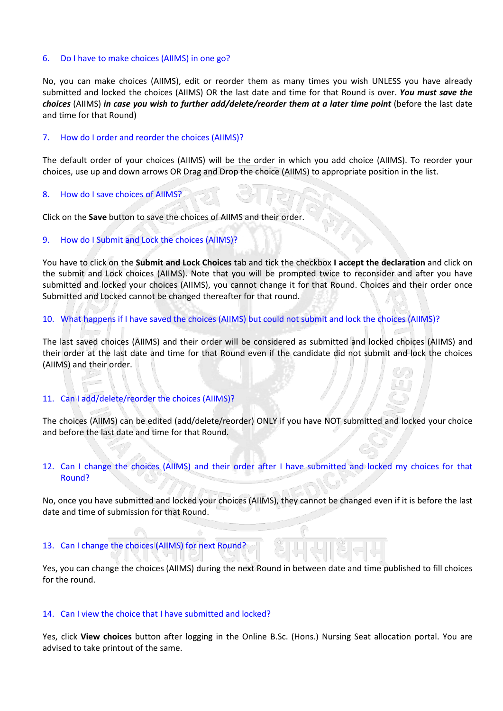#### 6. Do I have to make choices (AIIMS) in one go?

No, you can make choices (AIIMS), edit or reorder them as many times you wish UNLESS you have already submitted and locked the choices (AIIMS) OR the last date and time for that Round is over. *You must save the choices* (AIIMS) *in case you wish to further add/delete/reorder them at a later time point* (before the last date and time for that Round)

#### 7. How do I order and reorder the choices (AIIMS)?

The default order of your choices (AIIMS) will be the order in which you add choice (AIIMS). To reorder your choices, use up and down arrows OR Drag and Drop the choice (AIIMS) to appropriate position in the list.

#### 8. How do I save choices of AIIMS?

Click on the **Save** button to save the choices of AIIMS and their order.

#### 9. How do I Submit and Lock the choices (AIIMS)?

You have to click on the **Submit and Lock Choices** tab and tick the checkbox **I accept the declaration** and click on the submit and Lock choices (AIIMS). Note that you will be prompted twice to reconsider and after you have submitted and locked your choices (AIIMS), you cannot change it for that Round. Choices and their order once Submitted and Locked cannot be changed thereafter for that round.

#### 10. What happens if I have saved the choices (AIIMS) but could not submit and lock the choices (AIIMS)?

The last saved choices (AIIMS) and their order will be considered as submitted and locked choices (AIIMS) and their order at the last date and time for that Round even if the candidate did not submit and lock the choices (AIIMS) and their order.

#### 11. Can I add/delete/reorder the choices (AIIMS)?

The choices (AIIMS) can be edited (add/delete/reorder) ONLY if you have NOT submitted and locked your choice and before the last date and time for that Round.

### 12. Can I change the choices (AIIMS) and their order after I have submitted and locked my choices for that Round?

No, once you have submitted and locked your choices (AIIMS), they cannot be changed even if it is before the last date and time of submission for that Round.

#### 13. Can I change the choices (AIIMS) for next Round?

Yes, you can change the choices (AIIMS) during the next Round in between date and time published to fill choices for the round.

#### 14. Can I view the choice that I have submitted and locked?

Yes, click **View choices** button after logging in the Online B.Sc. (Hons.) Nursing Seat allocation portal. You are advised to take printout of the same.